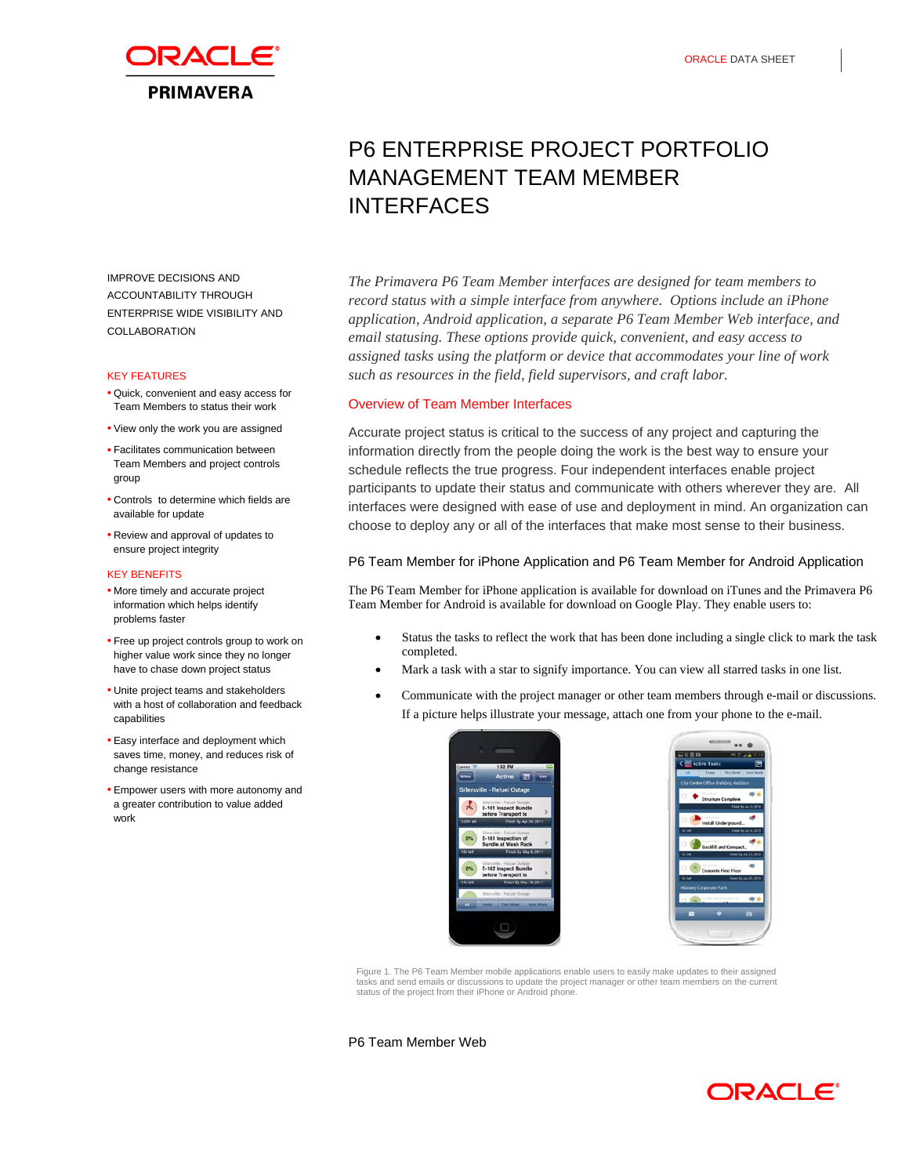

# P6 ENTERPRISE PROJECT PORTFOLIO MANAGEMENT TEAM MEMBER INTERFACES

IMPROVE DECISIONS AND ACCOUNTABILITY THROUGH ENTERPRISE WIDE VISIBILITY AND COLLABORATION

### KEY FEATURES

- Quick, convenient and easy access for Team Members to status their work
- View only the work you are assigned
- Facilitates communication between Team Members and project controls group
- Controls to determine which fields are available for update
- Review and approval of updates to ensure project integrity

#### KEY BENEFITS

- More timely and accurate project information which helps identify problems faster
- Free up project controls group to work on higher value work since they no longer have to chase down project status
- Unite project teams and stakeholders with a host of collaboration and feedback capabilities
- Easy interface and deployment which saves time, money, and reduces risk of change resistance
- Empower users with more autonomy and a greater contribution to value added work

*The Primavera P6 Team Member interfaces are designed for team members to record status with a simple interface from anywhere. Options include an iPhone application, Android application, a separate P6 Team Member Web interface, and email statusing. These options provide quick, convenient, and easy access to assigned tasks using the platform or device that accommodates your line of work such as resources in the field, field supervisors, and craft labor.*

## Overview of Team Member Interfaces

Accurate project status is critical to the success of any project and capturing the information directly from the people doing the work is the best way to ensure your schedule reflects the true progress. Four independent interfaces enable project participants to update their status and communicate with others wherever they are. All interfaces were designed with ease of use and deployment in mind. An organization can choose to deploy any or all of the interfaces that make most sense to their business.

## P6 Team Member for iPhone Application and P6 Team Member for Android Application

The P6 Team Member for iPhone application is available for download on iTunes and the Primavera P6 Team Member for Android is available for download on Google Play. They enable users to:

- Status the tasks to reflect the work that has been done including a single click to mark the task completed.
- Mark a task with a star to signify importance. You can view all starred tasks in one list.
- Communicate with the project manager or other team members through e-mail or discussions. If a picture helps illustrate your message, attach one from your phone to the e-mail.





Figure 1. The P6 Team Member mobile applications enable users to easily make updates to their assigned tasks and send emails or discussions to update the project manager or other team members on the current status of the project from their iPhone or Android phone.

### P6 Team Member Web

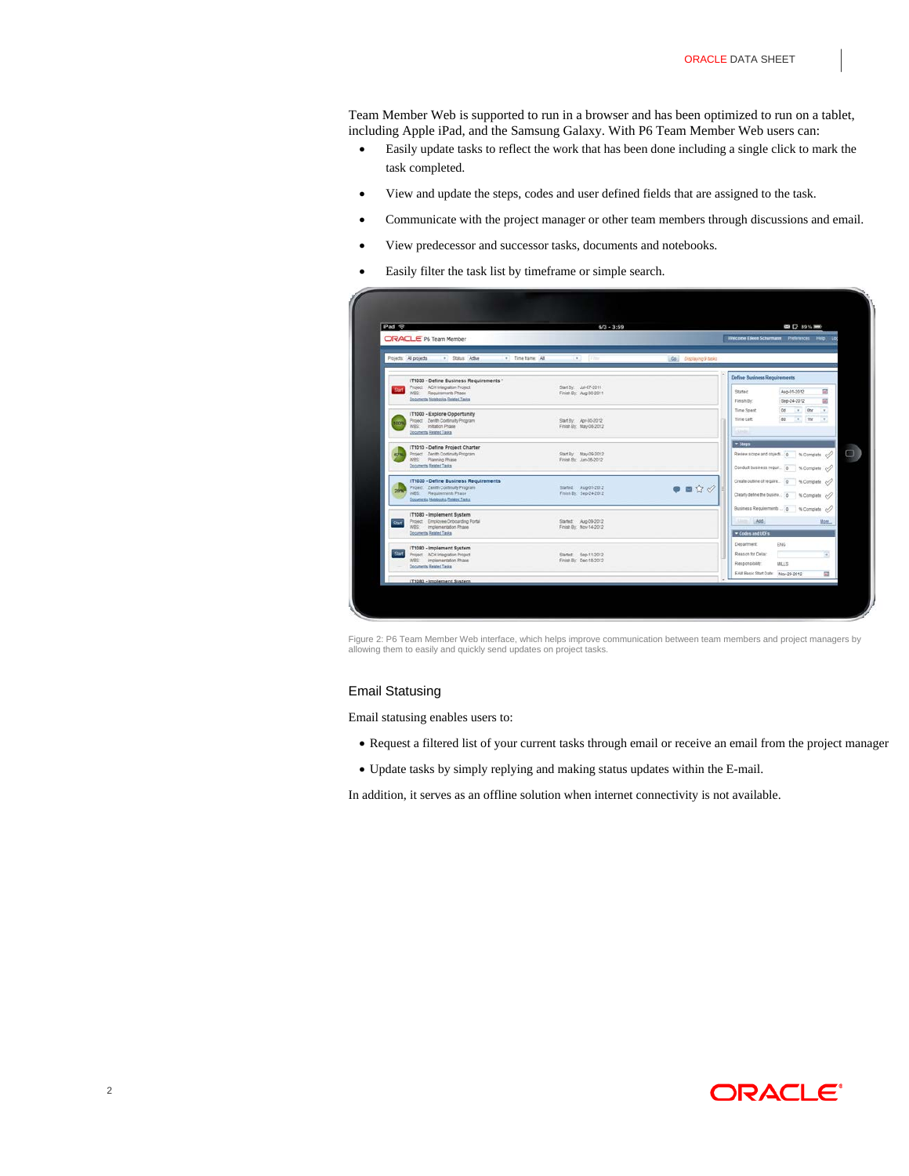Team Member Web is supported to run in a browser and has been optimized to run on a tablet, including Apple iPad, and the Samsung Galaxy. With P6 Team Member Web users can:

- Easily update tasks to reflect the work that has been done including a single click to mark the task completed.
- View and update the steps, codes and user defined fields that are assigned to the task.
- Communicate with the project manager or other team members through discussions and email.
- View predecessor and successor tasks, documents and notebooks.
- Easily filter the task list by timeframe or simple search.

| iPad <b>全</b> |                                                                | $6/3 - 3:59$                                    |                                |                                                                     | GB C2 89% HHO  |                          |
|---------------|----------------------------------------------------------------|-------------------------------------------------|--------------------------------|---------------------------------------------------------------------|----------------|--------------------------|
|               | ORACLE' P6 Team Member                                         |                                                 |                                | Welcome Elioen Schurmann Preferences Help Loc                       |                |                          |
|               | . Time tame: All<br>Projects: All projects<br>· Status: Adlive | $\left\vert \bullet\right\rangle$ . Thus        | Go Displaying 9 tasks          |                                                                     |                |                          |
|               | IT1030 - Define Business Requirements *                        |                                                 |                                | <b>Define Business Requirements</b>                                 |                |                          |
|               | Project ACH Integration Project<br>WBS Requirements Phase      | Start By: Jul-07-2011<br>Finish By: Aug-30-2011 |                                | Stated:                                                             | Aug-01-2012    | 國                        |
|               | Documents Notebooks, Related Tasks                             |                                                 |                                | Finish By                                                           | Sep-24-2012    | 國                        |
|               | IT1000 - Explore Opportunity                                   |                                                 |                                | Time Spent                                                          | $= 0$<br>Dd.   | $\mathbf{r}$             |
| 100%          | Project Zenith Continuity Program                              | Start By Apr-35-2012                            |                                | Time Left                                                           | $= 10r$<br>as: | $\overline{\phantom{a}}$ |
|               | WRS Initation Phase<br>Documents, Related Tasks                | Finish By: May-08-2012                          |                                | <b>Code:</b>                                                        |                |                          |
|               | IT1010 - Define Project Charter                                |                                                 |                                | $-$ Steps                                                           |                |                          |
|               | Project Zenith Continuity Program<br>WBS Planning Phase        | Start By May-09-2012<br>Finish By: Jun-05-2012  |                                | Review scope and objects. 0 % Complete </td <td></td> <td></td>     |                |                          |
|               | Documents, Related Tasks                                       |                                                 |                                | Conduct business requir. 0 % Complete c/                            |                |                          |
|               | IT1030 - Define Business Requirements                          |                                                 |                                | Create outline of require 0 % Complete. </td <td></td> <td></td>    |                |                          |
|               | Project Zerath Continuity Program<br>WBS: Requirements Phase   | Started Aug-01-2012<br>Finish By: Sep-34-2012   | $\bullet$ = $\Diamond \oslash$ | Clearly define the busine   0   % Complete </td <td></td> <td></td> |                |                          |
|               | Documents, Notebooks, Related Tasks                            |                                                 |                                |                                                                     |                |                          |
|               | IT1080 - Implement System                                      |                                                 |                                | Business Requirements  [0 % Complete                                |                |                          |
| <b>Star</b>   | Project Employee Orboarding Portal<br>WBS Implementation Phase | Started: Aug-09-2012<br>Finish By: Nov-14-2012  |                                | 11.76                                                               |                | More.                    |
|               | Documents Behited Tasks                                        |                                                 |                                | Codes and UDFs                                                      |                |                          |
|               | IT1080 - Implement System                                      |                                                 |                                | Department                                                          | <b>ENG</b>     |                          |
| <b>Start</b>  | Project ACH Integration Project                                | Started: 5ep-11-2012                            |                                | Reason for Delay:                                                   |                | Ŧ                        |
|               | WBS Implementation Phase<br><b>Documents Related Tasks</b>     | Finish By: Dec-18-2012                          |                                | Responsibility:                                                     | <b>BELS</b>    |                          |
|               |                                                                |                                                 |                                | EAM Basic Start Date: Nov-29-2012                                   |                | 岡                        |
|               | IT1080 - Implement System                                      |                                                 |                                |                                                                     |                |                          |

Figure 2: P6 Team Member Web interface, which helps improve communication between team members and project managers by allowing them to easily and quickly send updates on project tasks.

## Email Statusing

Email statusing enables users to:

- Request a filtered list of your current tasks through email or receive an email from the project manager
- Update tasks by simply replying and making status updates within the E-mail.

In addition, it serves as an offline solution when internet connectivity is not available.

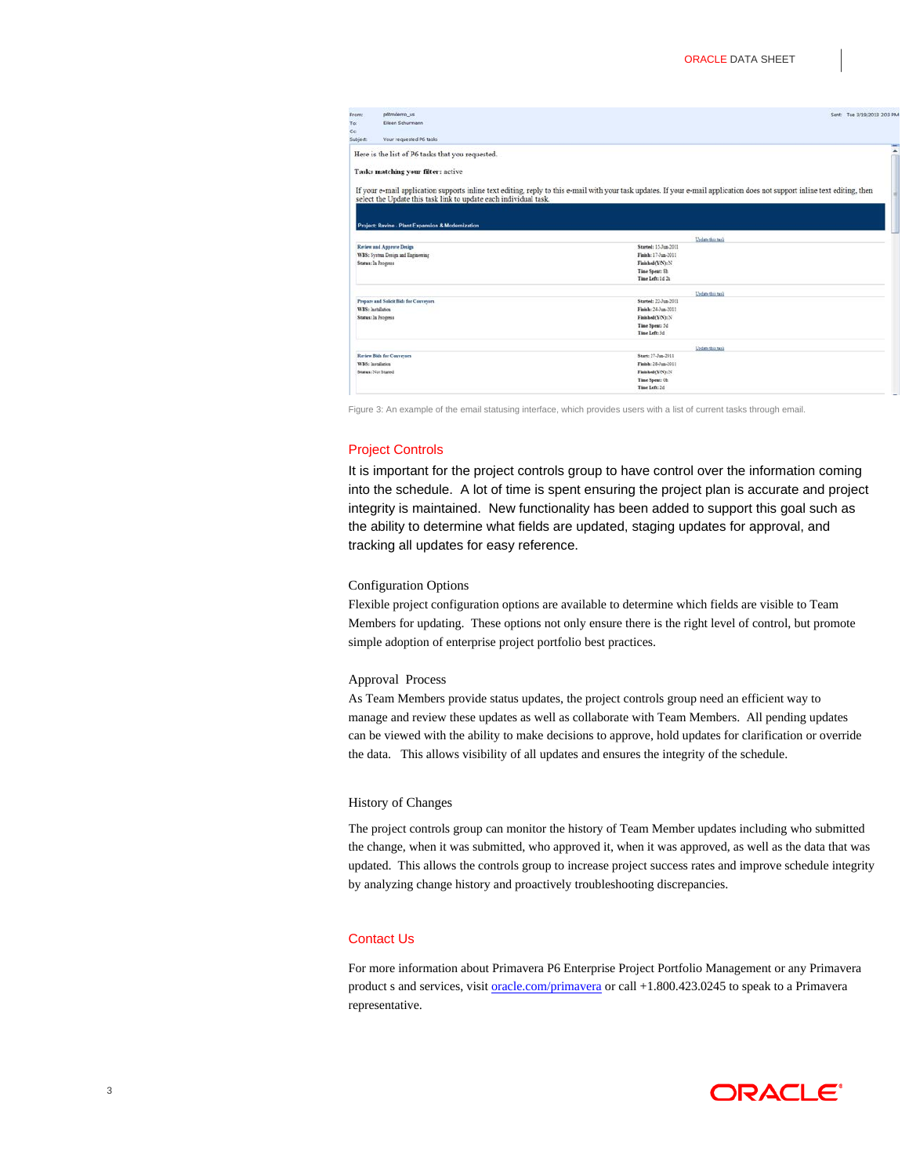| To:               | pótmdemo us                                                      | Sent: Tue 3/19/2013 2:03 P                                                                                                                                                  |
|-------------------|------------------------------------------------------------------|-----------------------------------------------------------------------------------------------------------------------------------------------------------------------------|
|                   | Eileen Schurmann                                                 |                                                                                                                                                                             |
| Cc:<br>Subject:   | Your requested P6 tasks                                          |                                                                                                                                                                             |
|                   |                                                                  |                                                                                                                                                                             |
|                   | Here is the list of P6 tasks that you requested.                 |                                                                                                                                                                             |
|                   | Tasks matching your filter: active                               |                                                                                                                                                                             |
|                   | select the Update this task link to update each individual task. | If your e-mail application supports inline text editing, reply to this e-mail with your task updates. If your e-mail application does not support inline text editing, then |
|                   | Project: Ravine - Plant Expansion & Modernization                |                                                                                                                                                                             |
|                   |                                                                  | Undan this task                                                                                                                                                             |
|                   | <b>Retiew and Approve Design</b>                                 | Started: 15.Jon.2011                                                                                                                                                        |
|                   | WBS: System Design and Engineering                               | Finish: 17-Jun-2011                                                                                                                                                         |
|                   |                                                                  |                                                                                                                                                                             |
|                   | Status: In Progress                                              | Finished(Y/N): N                                                                                                                                                            |
|                   |                                                                  | Time Spent: Sh                                                                                                                                                              |
|                   |                                                                  | Time Left: 1d 2b                                                                                                                                                            |
|                   |                                                                  | Undane this mok                                                                                                                                                             |
|                   | Prepare and Solicit Bids for Conveyors.                          | Started: 22-Jun-2011                                                                                                                                                        |
| WBS: Installation |                                                                  | Finish: 24.5m.2011                                                                                                                                                          |
|                   | Status: In Progress                                              | Finished(Y/N): N                                                                                                                                                            |
|                   |                                                                  | Time Spent: 3d                                                                                                                                                              |
|                   |                                                                  | Time Left: 3d                                                                                                                                                               |
|                   |                                                                  | Unders this task                                                                                                                                                            |
|                   | <b>Review Bids for Conveyors</b>                                 | Start: 27-Jun-2011                                                                                                                                                          |
| WBS: Installation |                                                                  | Finish: 28-Jun-2011                                                                                                                                                         |
|                   | Status: Not Stated                                               | Finished(Y/N): N<br>Time Spent: Ob                                                                                                                                          |

Figure 3: An example of the email statusing interface, which provides users with a list of current tasks through email.

## Project Controls

It is important for the project controls group to have control over the information coming into the schedule. A lot of time is spent ensuring the project plan is accurate and project integrity is maintained. New functionality has been added to support this goal such as the ability to determine what fields are updated, staging updates for approval, and tracking all updates for easy reference.

# Configuration Options

Flexible project configuration options are available to determine which fields are visible to Team Members for updating. These options not only ensure there is the right level of control, but promote simple adoption of enterprise project portfolio best practices.

#### Approval Process

As Team Members provide status updates, the project controls group need an efficient way to manage and review these updates as well as collaborate with Team Members. All pending updates can be viewed with the ability to make decisions to approve, hold updates for clarification or override the data. This allows visibility of all updates and ensures the integrity of the schedule.

#### History of Changes

The project controls group can monitor the history of Team Member updates including who submitted the change, when it was submitted, who approved it, when it was approved, as well as the data that was updated. This allows the controls group to increase project success rates and improve schedule integrity by analyzing change history and proactively troubleshooting discrepancies.

# Contact Us

For more information about Primavera P6 Enterprise Project Portfolio Management or any Primavera product s and services, visit **oracle.com/primavera** or call +1.800.423.0245 to speak to a Primavera representative.